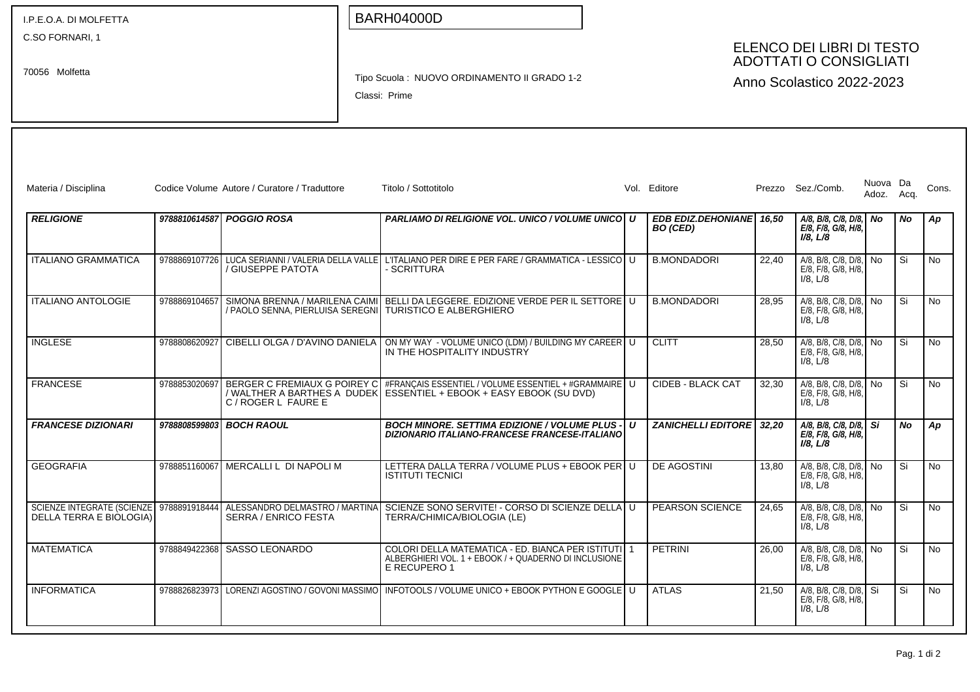| I.P.E.O.A. DI MOLFETTA            |               |                                                                                                            | <b>BARH04000D</b>                                                                                                                                            |                                                                                         |   |                                             |       |                                                                  |                        |           |           |
|-----------------------------------|---------------|------------------------------------------------------------------------------------------------------------|--------------------------------------------------------------------------------------------------------------------------------------------------------------|-----------------------------------------------------------------------------------------|---|---------------------------------------------|-------|------------------------------------------------------------------|------------------------|-----------|-----------|
| C.SO FORNARI, 1<br>70056 Molfetta |               |                                                                                                            | Tipo Scuola: NUOVO ORDINAMENTO II GRADO 1-2<br>Classi: Prime                                                                                                 | ELENCO DEI LIBRI DI TESTO<br><b>ADOTTATI O CONSIGLIATI</b><br>Anno Scolastico 2022-2023 |   |                                             |       |                                                                  |                        |           |           |
|                                   |               |                                                                                                            |                                                                                                                                                              |                                                                                         |   |                                             |       |                                                                  |                        |           |           |
| Materia / Disciplina              |               | Codice Volume Autore / Curatore / Traduttore                                                               | Titolo / Sottotitolo                                                                                                                                         |                                                                                         |   | Vol. Editore                                |       | Prezzo Sez./Comb.                                                | Nuova Da<br>Adoz. Acq. |           | Cons.     |
| <b>RELIGIONE</b>                  |               | 9788810614587 POGGIO ROSA                                                                                  | <b>PARLIAMO DI RELIGIONE VOL. UNICO / VOLUME UNICO   U</b>                                                                                                   |                                                                                         |   | EDB EDIZ.DEHONIANE 16,50<br><b>BO</b> (CED) |       | A/8, B/8, C/8, D/8, No<br>E/8, F/8, G/8, H/8,<br>$I/8$ , $L/8$   |                        | No.       | Ap        |
| <b>ITALIANO GRAMMATICA</b>        |               | / GIUSEPPE PATOTA                                                                                          | 9788869107726 LUCA SERIANNI / VALERIA DELLA VALLE L'ITALIANO PER DIRE E PER FARE / GRAMMATICA - LESSICO U<br>- SCRITTURA                                     |                                                                                         |   | <b>B.MONDADORI</b>                          | 22.40 | A/8, B/8, C/8, D/8, No<br>E/8, F/8, G/8, H/8,<br>$I/8$ , $L/8$   |                        | Si        | <b>No</b> |
| <b>ITALIANO ANTOLOGIE</b>         |               |                                                                                                            | 9788869104657 SIMONA BRENNA / MARILENA CAIMI BELLI DA LEGGERE. EDIZIONE VERDE PER IL SETTORE U<br>/ PAOLO SENNA, PIERLUISA SEREGNI   TURISTICO E ALBERGHIERO |                                                                                         |   | <b>B.MONDADORI</b>                          | 28.95 | A/8, B/8, C/8, D/8, No<br>E/8, F/8, G/8, H/8,<br>$I/8$ , $L/8$   |                        | Si        | <b>No</b> |
| <b>INGLESE</b>                    |               | 9788808620927 CIBELLI OLGA / D'AVINO DANIELA                                                               | ON MY WAY - VOLUME UNICO (LDM) / BUILDING MY CAREER U<br>IN THE HOSPITALITY INDUSTRY                                                                         |                                                                                         |   | <b>CLITT</b>                                | 28,50 | A/8, B/8, C/8, D/8, No<br>E/8, F/8, G/8, H/8,<br>$I/8$ , $L/8$   |                        | Si        | No        |
| <b>FRANCESE</b>                   | 9788853020697 | BERGER C FREMIAUX G POIREY C<br>C / ROGER L FAURE E                                                        | #FRANCAIS ESSENTIEL / VOLUME ESSENTIEL + #GRAMMAIRE U<br>/ WALTHER A BARTHES A DUDEK   ESSENTIEL + EBOOK + EASY EBOOK (SU DVD)                               |                                                                                         |   | <b>CIDEB - BLACK CAT</b>                    | 32,30 | A/8, B/8, C/8, D/8, No<br>E/8, F/8, G/8, H/8,<br>$I/8$ , $L/8$   |                        | Si        | <b>No</b> |
| <b>FRANCESE DIZIONARI</b>         |               | 9788808599803 BOCH RAOUL                                                                                   | <b>BOCH MINORE. SETTIMA EDIZIONE / VOLUME PLUS - I</b><br>DIZIONARIO ITALIANO-FRANCESE FRANCESE-ITALIANO                                                     |                                                                                         | U | <b>ZANICHELLI EDITORE</b>                   | 32,20 | A/8, B/8, C/8, D/8, Si<br>E/8, F/8, G/8, H/8,<br>$I/8$ , $L/8$   |                        | <b>No</b> | Ap        |
| <b>GEOGRAFIA</b>                  |               | 9788851160067 MERCALLIL DI NAPOLI M                                                                        | LETTERA DALLA TERRA / VOLUME PLUS + EBOOK PER U<br><b>ISTITUTI TECNICI</b>                                                                                   |                                                                                         |   | DE AGOSTINI                                 | 13,80 | A/8, B/8, C/8, D/8, No<br>E/8, F/8, G/8, H/8,<br>$I/8$ , $L/8$   |                        | Si        | No        |
| DELLA TERRA E BIOLOGIA)           |               | SCIENZE INTEGRATE (SCIENZE   9788891918444   ALESSANDRO DELMASTRO / MARTINA<br><b>SERRA / ENRICO FESTA</b> | SCIENZE SONO SERVITE! - CORSO DI SCIENZE DELLA U<br>TERRA/CHIMICA/BIOLOGIA (LE)                                                                              |                                                                                         |   | <b>PEARSON SCIENCE</b>                      | 24,65 | A/8, B/8, C/8, D/8, I No<br>E/8, F/8, G/8, H/8,<br>$I/8$ , $L/8$ |                        | Si        | No        |
| <b>MATEMATICA</b>                 |               | 9788849422368 SASSO LEONARDO                                                                               | COLORI DELLA MATEMATICA - ED. BIANCA PER ISTITUTI 1<br>ALBERGHIERI VOL. 1 + EBOOK / + QUADERNO DI INCLUSIONE<br>E RECUPERO 1                                 |                                                                                         |   | <b>PETRINI</b>                              | 26,00 | A/8, B/8, C/8, D/8, No<br>E/8, F/8, G/8, H/8,<br>$I/8$ , $L/8$   |                        | Si        | <b>No</b> |
| <b>INFORMATICA</b>                |               |                                                                                                            | 9788826823973 LORENZI AGOSTINO / GOVONI MASSIMO   INFOTOOLS / VOLUME UNICO + EBOOK PYTHON E GOOGLE   U                                                       |                                                                                         |   | <b>ATLAS</b>                                | 21,50 | A/8, B/8, C/8, D/8, Si<br>E/8, F/8, G/8, H/8,<br>$I/8$ , $L/8$   |                        | Si        | No        |